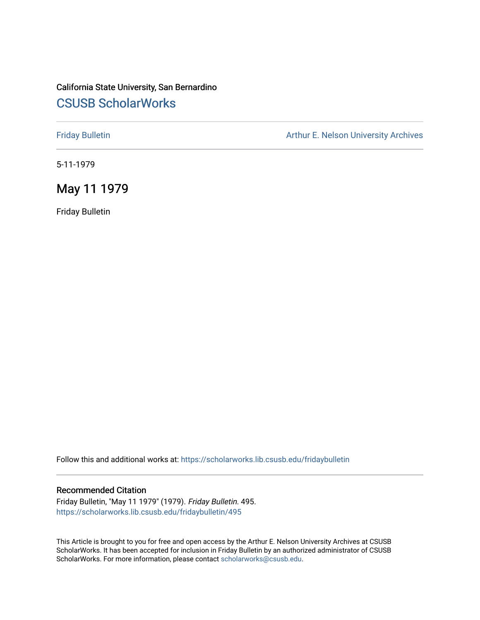# California State University, San Bernardino [CSUSB ScholarWorks](https://scholarworks.lib.csusb.edu/)

[Friday Bulletin](https://scholarworks.lib.csusb.edu/fridaybulletin) **Arthur E. Nelson University Archives** Arthur E. Nelson University Archives

5-11-1979

# May 11 1979

Friday Bulletin

Follow this and additional works at: [https://scholarworks.lib.csusb.edu/fridaybulletin](https://scholarworks.lib.csusb.edu/fridaybulletin?utm_source=scholarworks.lib.csusb.edu%2Ffridaybulletin%2F495&utm_medium=PDF&utm_campaign=PDFCoverPages)

### Recommended Citation

Friday Bulletin, "May 11 1979" (1979). Friday Bulletin. 495. [https://scholarworks.lib.csusb.edu/fridaybulletin/495](https://scholarworks.lib.csusb.edu/fridaybulletin/495?utm_source=scholarworks.lib.csusb.edu%2Ffridaybulletin%2F495&utm_medium=PDF&utm_campaign=PDFCoverPages)

This Article is brought to you for free and open access by the Arthur E. Nelson University Archives at CSUSB ScholarWorks. It has been accepted for inclusion in Friday Bulletin by an authorized administrator of CSUSB ScholarWorks. For more information, please contact [scholarworks@csusb.edu.](mailto:scholarworks@csusb.edu)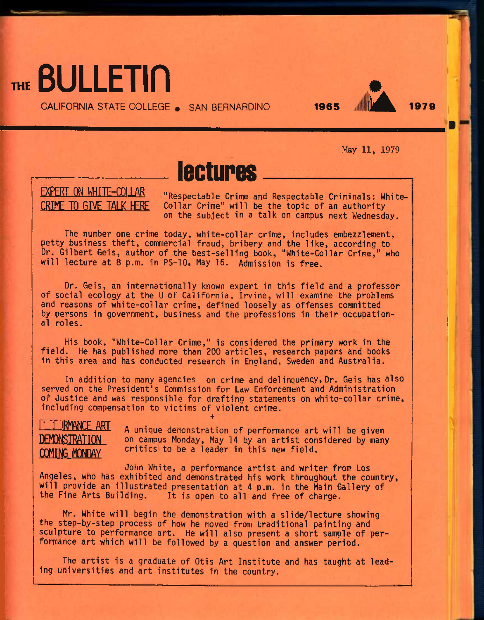

CALIFORNIA STATE COLLEGE • SAN BERNARDINO **1965** 2k **<sup>1979</sup>**



'•

May 11, 1979

# lectures

# **EXPERT ON WHITE-COLLAR CRIME TO GIVE TAIK HERE**

"Respectable Crime and Respectable Criminals: White-Collar Crime" will be the topic of an authority on the subject in a talk on campus next Wednesday.

The number one crime today, white-collar crime, includes embezzlement, petty business theft, commercial fraud, bribery and the like, according to Dr. Gilbert Geis, author of the best-selling book, "White-Collar Crime," who will lecture at 8 p.m. in PS-10, May 16. Admission is free.

Dr. Geis, an internationally known expert in this field and a professor of social ecology at the U of California, Irvine, will examine the problems and reasons of white-collar crime, defined loosely as offenses committed by persons in government, business and the professions in their occupational roles.

His book, "White-Collar Crime," is considered the primary work in the field. He has published more than 200 articles, research papers and books in this area and has conducted research in England, Sweden and Australia.

In addition to many agencies on crime and delinquency. Dr. Geis has also served on the President's Commission for Law Enforcement and Administration of Justice and was responsible for drafting statements on white-collar crime, including compensation to victims of violent crime. +

**URMANCE ART nFMnNRTRATinN COMING MONDAY** A unique demonstration of performance art will be given on campus Monday, May 14 by an artist considered by many critics to be a leader in this new field.

John White, a performance artist and writer from Los Angeles, who has exhibited and demonstrated his work throughout the country, will provide an illustrated presentation at 4 p.m. in the Main Gallery of the Fine Arts Building. It is open to all and free of charge.

Mr. White will begin the demonstration with a slide/lecture showing the step-by-step process of how he moved from traditional painting and sculpture to performance art. He will also present a short sample of performance art which will be followed by a question and answer period.

The artist is a graduate of Otis Art Institute and has taught at leading universities and art institutes in the country.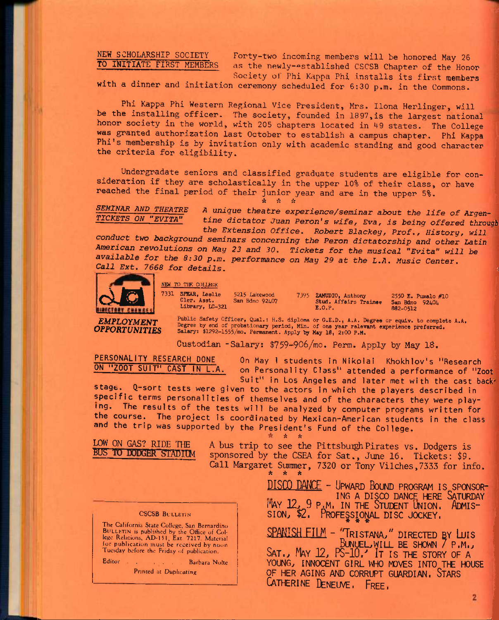### **NEW SCHOLARSHIP SOCIETY TO INITIATE FIRST MEMBERS**

**Forty-two incoming members will be honored May 26**  as the newly-established CSCSB Chapter of the Honor **Society of Phi Kappa Phi Installs its first** members

**with a dinner and initiation ceremony scheduled for 6:30 p.m. in the Commons.** 

**Phi Kappa Phi Western Regional Vice President, Mrs. Ilona Herlinger, will be the installing officer. The society, founded in 1897,is the largest national honor society in the world, with 205 chapters located in 49 states. The College was granted authorization last October to establish a campus chapter. Phi Kappa Phi's membership is by invitation only with academic standing and good character the criteria for eligibility.** 

**Undergradate seniors and classified graduate students are eligible for consideration if they are scholastically in the upper 10% of their class, or have reached the final period of their junior year and are in the upper 5%.**   $\begin{array}{cccccc} \mathbf{r}^k & \mathbf{r}^k & \mathbf{r}^k & \mathbf{r}^k & \mathbf{r}^k & \mathbf{r}^k & \mathbf{r}^k & \mathbf{r}^k & \mathbf{r}^k & \mathbf{r}^k & \mathbf{r}^k & \mathbf{r}^k & \mathbf{r}^k & \mathbf{r}^k & \mathbf{r}^k & \mathbf{r}^k & \mathbf{r}^k & \mathbf{r}^k & \mathbf{r}^k & \mathbf{r}^k & \mathbf{r}^k & \mathbf{r}^k & \mathbf{r}^k & \mathbf{r$ 

**SEMINAR AND THEATRE** A unique theatre experience/seminar about the life of Argen-<br>TICKETS ON "EVITA" tine dictator Juan Peron's wife, Fun, is being offered throw tine dictator Juan Peron's wife, Eva, is being offered through

*the Extension Office. Robert Blackey, Prof., History, will conduct two background seminars concerning the Peron dictatorship and other Latin American revolutions on May 23 and 30. Tickets for the musical "Evita" will be available for the 8:30 p.m. performance on May 29 at the L.A. Music Center. Call Ext. 7668 for details.* 



MEW TO THE COLLEGE SPARE LEGISLATE SPARE, LEGISLATE SPARE, LEGISLATE SPARE LIbrary, LC-3 7331 SPKAR, Lealie Cler. Asst. Library, LC-321 5215 Lalcewood San Bdno 92407

7395 ZAMUDIO, Anthony Stud. Affairs Trainae E.O.P.

2550 E. Pumalo #10 San Bdno 92404 882-0512

*EMPLOYMENT OPPORTUNITIES*  Public Safety Officer, Qual.: H.S. diploms or G.E.D., A.A. Degree or equiv. to complete A.A.<br>Degree by end of probationary period, Min. of one year relevant experience preferred.<br>Salary: \$1292-1555/mo. Permanent. Apply by

**Custodian -Salary: \$759-906/mo. Perm. Apply by May 18,** 

**PERSONALITY RESEARCH DONE ON "ZOOT SUIT" CAST IN L.A.** 

**On May I students in Nikolai Khokhlov's "Research on Personality Class" attended a performance of "Zoot Suit" in Los Angeles and later met with the cast back'** 

stage. Q-sort tests were given to the actors in which the players described in **specific terms personalities of themselves and of the characters they were playing. The results of the tests will be analyzed by computer programs written for the course. The project is coordinated by Mexican-American students in the class and the trip was supported by the President's Fund of the College.** 

A A

蠹

LOW ON GAS? RIDE THE BUS TO DODGER STADIUM

A bus trip to see the Pittsburgh Pirates vs. Dodgers is sponsored by the CSEA for Sat., June 16. Tickets: \$9. Call Margaret Summer, 7320 or Tony Vilches,7333 for info.

### **CSCSB BULLETIN**

The California State College, San Bernardino FIC Cantornia State Concege, San Bernardino<br>BullLETIN is published by the Office of Col-<br>lege Relations, AD-151, Ext. 7217. Material<br>for publication must be received by noon Tuesday before the Friday of publication.

Editor Barbara Nolte

Printed at Duplicating

**DISCO DAFCE - UPWARD BOUND PROGRAM IS SPONSOR-** ING A DISCO DANCE HERE SATURDAY MAY 12, 9 P.M. IN THE STUDENT UNION. ADMIS-SION, \$2. PROFESSIONAL DISC JOCKEY.

**SPANISH FILM - TRISTANA/' DIRECTED BY LUIS BIMUEL.WILL BE SHOWN 7 P.M.., SAT.., MAY** *]2J* **PS-10.-' IT IS THE STORY OF A**  YOUNG, INNOCENT GIRL WHO MOVES INTO THE HOUSE **OF HER AGING AND CORRUPT GUARDIAN. STARS CATHERINE DENEUVE, FREE,**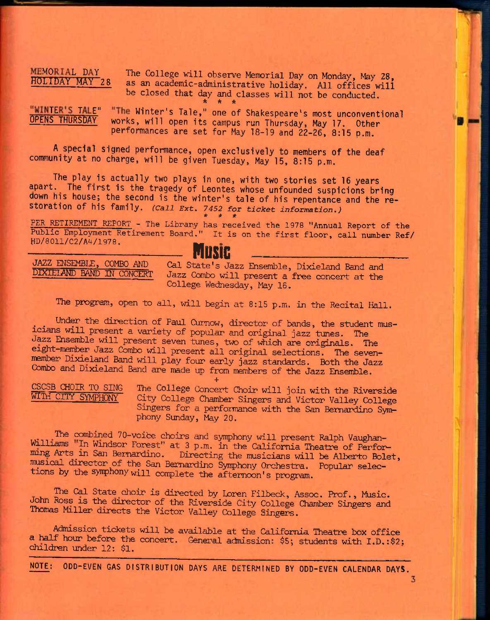MEMORIAL DAY The College will observe Memorial Day on Monday, May 28,<br>HOLIDAY MAY 28 as an academic-administrative boliday, All offices  $\frac{11}{2}$ as an academic-administrative holiday. All offices will be closed that day and classes will not be conducted. **\* \* \*** 

## "WINTER'S TALE" "The Winter's Tale," one of Shakespeare's most unconventional<br>OPENS THURSDAY works, will open its campus run Thursday, May 17, Othon works, will open its campus run Thursday, May 17. Other performances are set for May 18-19 and 22-26, 8:15 p.m.

A special signed performance, open exclusively to members of the deaf community at no charge, will be given Tuesday, May 15, 8:15 p.m.

The play is actually two plays in one, with two stories set 16 years apart. The first is the tragedy of Leontes whose unfounded suspicions bring down his house; the second is the winter's tale of his repentance and the restoration of his family. *(Call Ext. 7452 for ticket information.) \* \* \** 

**PER RETIREMENT REPORT - The Library has received the 1978 "Annual Report of the**  Public Employment Retirement Board." It is on the first floor, call number Ref/<br> **HD/8011/C2/A4/1978. Constitution** 

**nustc** 

JAZZ ENSEMBLE, COMBO AND Gal State's Jazz Ensemble, Dixieland Band and DIXIEIAND BAND IN CONCERT Jazz Combo will present a free concert at the College Wednesday, May 16.

The program, open to all, will begin at 8:15 p.m. in the Recital Hall.

Under the direction of Paul Curnow, director of bands, the student musicians will present a variety of popular and original jazz tunes. The Jazz Ensemble will present seven tunes, two of which are originals. The eight-member Jazz Combo will present all original selections. The sevenmember Dixieland Band will play four early jazz standards. Both the Jazz Oombo and Dixieland Band are nade up from members of the Jazz Ensemble.

**+** 

CSCSB CHOIR TO SING The College Concert Choir will join with the Riverside<br>WITH CITY SYMPHONY City College Chamber Singers and Victor Valley College City College Chamber Singers and Victor Valley College Singers for a performance with the San Bernardino Symphony Sunday, May 20.

The combined 70-voice choirs and symphony will present Ralph Vaughan-Williams "In Windsor Forest" at 3 p.m. in the California Theatre of Performing Arts in San Bernardino. Directing the musicians will be Alberto Bolet, musical director of the San Bernardino Symphony Orchestra. Popular selections by the symphony will complete the afternoon's program.

The Cal State choir is directed by Loren Filbeck, Assoc. Prof., Music. John Ross is the director of the Riverside City College Chamber Singers and Thomas Miller directs the Victor Valley College Singers.

Admission tickets will be available at the California Theatre box office a half hour before the concert. General admission: \$5; students with I.D.:\$2; children under 12: \$1.

**NOTE: ODD-EVEN GAS DISTRIBUTION DAYS ARE DETERMINED BY ODD-EVEN CALENDAR DAYS.**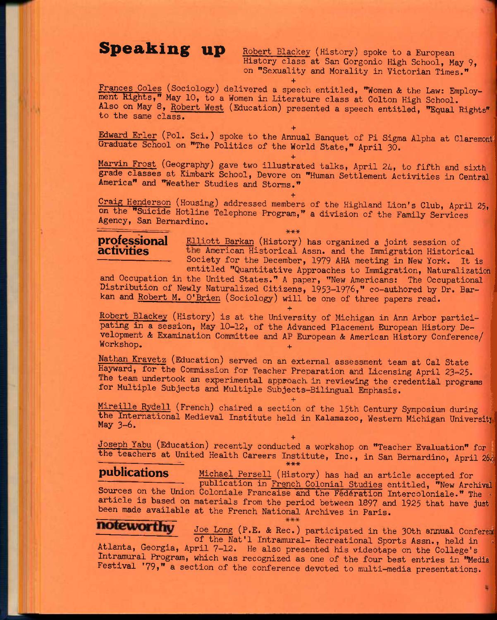**Speaking up** Robert Blackey (History) spoke to a European History class at San Gorgonio High School, May 9, on "Sexuality and Morality in Victorian Times."

**+**  Frances Coles (Sociology) delivered a speech entitled, "Women & the Law: Employment Rights," May 10, to a Women in Literature class at Colton High School. Also on May 8, Robert West (Education) presented a speech entitled, "Equal Rights" to the same class.

**+**  Edward Erler (Pol. Sci.) spoke to the Annual Banquet of Pi Sigma Alpha at Claremont Graduate School on "The Politics of the World State," April 30.

**+**  Marvin Frost (Geography) gave two illustrated talks, April 24, to fifth and sixth grade classes at Kimbark School, Devore on "Human Settlement Activities in Central America" and "Weather Studies and Storms."

**+**  Craig Henderson (Housing) addressed members of the Highland Lion's Club, April 25, on the "Suicide Hotline Telephone Program," a division of the Family Services Agency, San Bernardino.

**\*\*\*** 

**professional** Elliott Barkan (History) has organized a joint session of **activities** the American Historical Assn. and the Immigration Historic **activities** American Historical Assn. and the Immigration Historical Society for the December, 1979 AHA meeting in New York. It is entitled "Quantitative Approaches to Immigration, Naturalization

and Occupation in the United States." A paper, "New Americans: The Occupational Distribution of Newly Naturalized Citizens, 1953—1976," co—authored by Dr. Barkan and Robert M. O'Brien (Sociology) will be one of three papers read.

Robert Blackey (History) is at the University of Michigan in Ann Arbor participating in a session, May 10-12, of the Advanced Placement European History Development & Examination Committee and AP European & American History Conference/ Workshop.

**+** 

Nathan Kravetz (Education) served on an external assessment team at Cal State Hayward, for the Commission for Teacher Preparation and Licensing April 23-25. The team undertook an experimental approach in reviewing the credential programs for Multiple Subjects and Multiple Subjects-Bilingual Emphasis.

**+**  Mireille Rydell (French) chaired a section of the 15th Century Symposium during the International Medieval Institute held in Kalamazoo, Western Michigan University

**+**  Joseph Yabu (Education) recently conducted a workshop on "Teacher Evaluation" for the teachers at United Health Careers Institute, Inc., in San Bernardino, April 26# **\*\*\*** 

**publications Michael Persell (History)** has had an article accepted for publication in French Colonial Studies entitled, "New Archival Sources on the Union Coloniale Francaise and the Federation Intercoloniale." The article is based on materials from the period between 1897 and 1925 that have just been made available at the French National Archives in Paris.

\*\*\*

## noteworthy

Joe Long (P.E. & Rec.) participated in the 30th annual Confereni of the Nat'l Intramural- Recreational Sports Assn., held in Atlanta, Georgia, April 7-12. He also presented his videotape on the College's Intramural Program, which was recognized as one of the four best entries in "Media Festival '79," a section of the conference devoted to multi-media presentations.